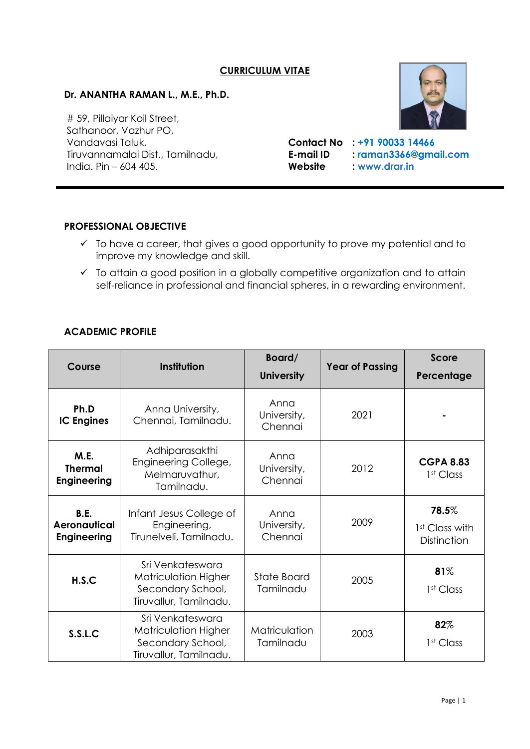## **CURRICULUM VITAE**

## **Dr. ANANTHA RAMAN L., M.E., Ph.D.**

# 59, Pillaiyar Koil Street, Sathanoor, Vazhur PO, Vandavasi Taluk, **Contact No : [+91 90033 14466](tel:+919003314466)** India. Pin – 604 405. **Website : [www.drar.in](https://www.drar.in/)**

Tiruvannamalai Dist., Tamilnadu, **E-mail ID : [raman3366@gmail.com](mailto:raman3366@gmail.com)**

## **PROFESSIONAL OBJECTIVE**

Ξ

- $\checkmark$  To have a career, that gives a good opportunity to prove my potential and to improve my knowledge and skill.
- ✓ To attain a good position in a globally competitive organization and to attain self-reliance in professional and financial spheres, in a rewarding environment.

#### **ACADEMIC PROFILE**

| Course                                                   | Institution                                                                             | Board/<br><b>University</b>    | <b>Year of Passing</b> | <b>Score</b><br>Percentage                         |
|----------------------------------------------------------|-----------------------------------------------------------------------------------------|--------------------------------|------------------------|----------------------------------------------------|
| Ph.D<br><b>IC Engines</b>                                | Anna University,<br>Chennai, Tamilnadu.                                                 | Anna<br>University,<br>Chennai | 2021                   |                                                    |
| M.E.<br><b>Thermal</b><br><b>Engineering</b>             | Adhiparasakthi<br>Engineering College,<br>Melmaruvathur,<br>Tamilnadu.                  | Anna<br>University,<br>Chennai | 2012                   | <b>CGPA 8.83</b><br>1 <sup>st</sup> Class          |
| <b>B.E.</b><br><b>Aeronautical</b><br><b>Engineering</b> | Infant Jesus College of<br>Engineering,<br>Tirunelveli, Tamilnadu.                      | Anna<br>University,<br>Chennai | 2009                   | 78.5%<br>1 <sup>st</sup> Class with<br>Distinction |
| H.S.C                                                    | Sri Venkateswara<br>Matriculation Higher<br>Secondary School,<br>Tiruvallur, Tamilnadu. | State Board<br>Tamilnadu       | 2005                   | 81%<br>1 <sup>st</sup> Class                       |
| S.S.L.C                                                  | Sri Venkateswara<br>Matriculation Higher<br>Secondary School,<br>Tiruvallur, Tamilnadu. | Matriculation<br>Tamilnadu     | 2003                   | 82%<br>1 <sup>st</sup> Class                       |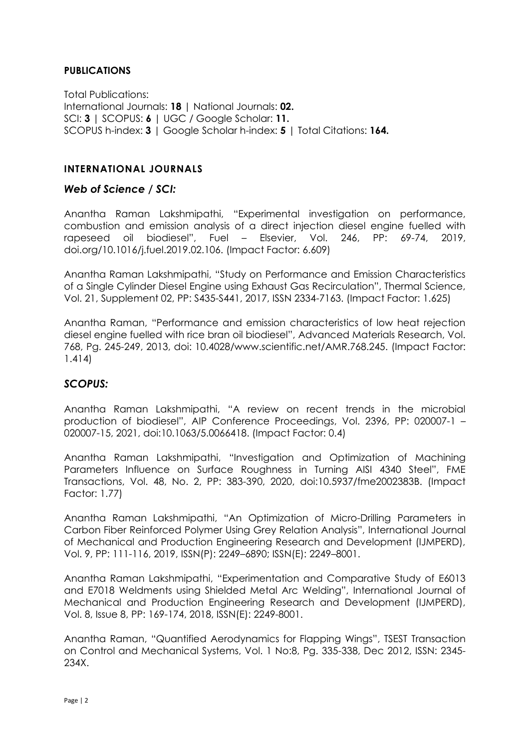## **PUBLICATIONS**

Total Publications: International Journals: **18** | National Journals: **02.** SCI: **3** | SCOPUS: **6** | UGC / Google Scholar: **11.** SCOPUS h-index: **3** | Google Scholar h-index: **5** | Total Citations: **164.**

## **INTERNATIONAL JOURNALS**

### *Web of Science / SCI:*

Anantha Raman Lakshmipathi, "Experimental investigation on performance, combustion and emission analysis of a direct injection diesel engine fuelled with rapeseed oil biodiesel", Fuel – Elsevier, Vol. 246, PP: 69-74, 2019, doi.org/10.1016/j.fuel.2019.02.106. (Impact Factor: 6.609)

Anantha Raman Lakshmipathi, "Study on Performance and Emission Characteristics of a Single Cylinder Diesel Engine using Exhaust Gas Recirculation", Thermal Science, Vol. 21, Supplement 02, PP: S435-S441, 2017, ISSN 2334-7163. (Impact Factor: 1.625)

Anantha Raman, "Performance and emission characteristics of low heat rejection diesel engine fuelled with rice bran oil biodiesel", Advanced Materials Research, Vol. 768, Pg. 245-249, 2013, doi: 10.4028/www.scientific.net/AMR.768.245. (Impact Factor: 1.414)

## *SCOPUS:*

Anantha Raman Lakshmipathi, "A review on recent trends in the microbial production of biodiesel", AIP Conference Proceedings, Vol. 2396, PP: 020007-1 – 020007-15, 2021, doi:10.1063/5.0066418. (Impact Factor: 0.4)

Anantha Raman Lakshmipathi, "Investigation and Optimization of Machining Parameters Influence on Surface Roughness in Turning AISI 4340 Steel", FME Transactions, Vol. 48, No. 2, PP: 383-390, 2020, doi:10.5937/fme2002383B. (Impact Factor: 1.77)

Anantha Raman Lakshmipathi, "An Optimization of Micro-Drilling Parameters in Carbon Fiber Reinforced Polymer Using Grey Relation Analysis", International Journal of Mechanical and Production Engineering Research and Development (IJMPERD), Vol. 9, PP: 111-116, 2019, ISSN(P): 2249–6890; ISSN(E): 2249–8001.

Anantha Raman Lakshmipathi, "Experimentation and Comparative Study of E6013 and E7018 Weldments using Shielded Metal Arc Welding", International Journal of Mechanical and Production Engineering Research and Development (IJMPERD), Vol. 8, Issue 8, PP: 169-174, 2018, ISSN(E): 2249-8001.

Anantha Raman, "Quantified Aerodynamics for Flapping Wings", TSEST Transaction on Control and Mechanical Systems, Vol. 1 No:8, Pg. 335-338, Dec 2012, ISSN: 2345- 234X.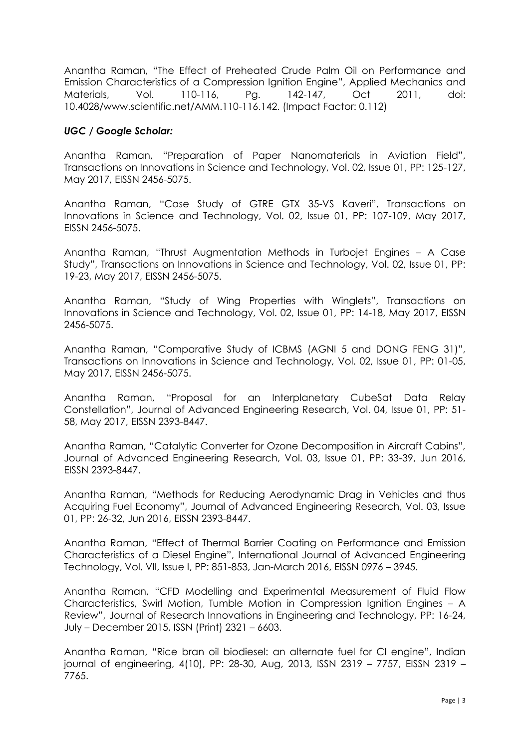Anantha Raman, "The Effect of Preheated Crude Palm Oil on Performance and Emission Characteristics of a Compression Ignition Engine", Applied Mechanics and Materials, Vol. 110-116, Pg. 142-147, Oct 2011, doi: 10.4028/www.scientific.net/AMM.110-116.142. (Impact Factor: 0.112)

## *UGC / Google Scholar:*

Anantha Raman, "Preparation of Paper Nanomaterials in Aviation Field", Transactions on Innovations in Science and Technology, Vol. 02, Issue 01, PP: 125-127, May 2017, EISSN 2456-5075.

Anantha Raman, "Case Study of GTRE GTX 35-VS Kaveri", Transactions on Innovations in Science and Technology, Vol. 02, Issue 01, PP: 107-109, May 2017, EISSN 2456-5075.

Anantha Raman, "Thrust Augmentation Methods in Turbojet Engines – A Case Study", Transactions on Innovations in Science and Technology, Vol. 02, Issue 01, PP: 19-23, May 2017, EISSN 2456-5075.

Anantha Raman, "Study of Wing Properties with Winglets", Transactions on Innovations in Science and Technology, Vol. 02, Issue 01, PP: 14-18, May 2017, EISSN 2456-5075.

Anantha Raman, "Comparative Study of ICBMS (AGNI 5 and DONG FENG 31)", Transactions on Innovations in Science and Technology, Vol. 02, Issue 01, PP: 01-05, May 2017, EISSN 2456-5075.

Anantha Raman, "Proposal for an Interplanetary CubeSat Data Relay Constellation", Journal of Advanced Engineering Research, Vol. 04, Issue 01, PP: 51- 58, May 2017, EISSN 2393-8447.

Anantha Raman, "Catalytic Converter for Ozone Decomposition in Aircraft Cabins", Journal of Advanced Engineering Research, Vol. 03, Issue 01, PP: 33-39, Jun 2016, EISSN 2393-8447.

Anantha Raman, "Methods for Reducing Aerodynamic Drag in Vehicles and thus Acquiring Fuel Economy", Journal of Advanced Engineering Research, Vol. 03, Issue 01, PP: 26-32, Jun 2016, EISSN 2393-8447.

Anantha Raman, "Effect of Thermal Barrier Coating on Performance and Emission Characteristics of a Diesel Engine", International Journal of Advanced Engineering Technology, Vol. VII, Issue I, PP: 851-853, Jan-March 2016, EISSN 0976 – 3945.

Anantha Raman, "CFD Modelling and Experimental Measurement of Fluid Flow Characteristics, Swirl Motion, Tumble Motion in Compression Ignition Engines – A Review", Journal of Research Innovations in Engineering and Technology, PP: 16-24, July – December 2015, ISSN (Print) 2321 – 6603.

Anantha Raman, "Rice bran oil biodiesel: an alternate fuel for CI engine", Indian journal of engineering, 4(10), PP: 28-30, Aug, 2013, ISSN 2319 – 7757, EISSN 2319 – 7765.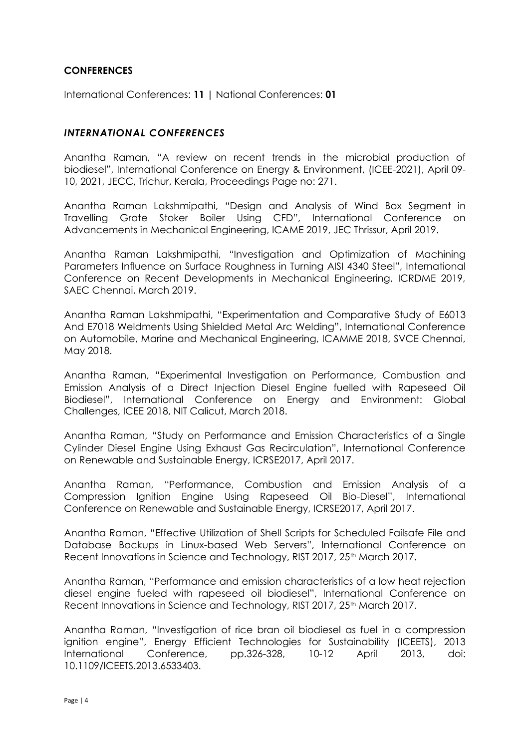## **CONFERENCES**

International Conferences: **11 |** National Conferences: **01**

#### *INTERNATIONAL CONFERENCES*

Anantha Raman, "A review on recent trends in the microbial production of biodiesel", International Conference on Energy & Environment, (ICEE-2021), April 09- 10, 2021, JECC, Trichur, Kerala, Proceedings Page no: 271.

Anantha Raman Lakshmipathi, "Design and Analysis of Wind Box Segment in Travelling Grate Stoker Boiler Using CFD", International Conference on Advancements in Mechanical Engineering, ICAME 2019, JEC Thrissur, April 2019.

Anantha Raman Lakshmipathi, "Investigation and Optimization of Machining Parameters Influence on Surface Roughness in Turning AISI 4340 Steel", International Conference on Recent Developments in Mechanical Engineering, ICRDME 2019, SAEC Chennai, March 2019.

Anantha Raman Lakshmipathi, "Experimentation and Comparative Study of E6013 And E7018 Weldments Using Shielded Metal Arc Welding", International Conference on Automobile, Marine and Mechanical Engineering, ICAMME 2018, SVCE Chennai, May 2018.

Anantha Raman, "Experimental Investigation on Performance, Combustion and Emission Analysis of a Direct Injection Diesel Engine fuelled with Rapeseed Oil Biodiesel", International Conference on Energy and Environment: Global Challenges, ICEE 2018, NIT Calicut, March 2018.

Anantha Raman, "Study on Performance and Emission Characteristics of a Single Cylinder Diesel Engine Using Exhaust Gas Recirculation", International Conference on Renewable and Sustainable Energy, ICRSE2017, April 2017.

Anantha Raman, "Performance, Combustion and Emission Analysis of a Compression Ignition Engine Using Rapeseed Oil Bio-Diesel", International Conference on Renewable and Sustainable Energy, ICRSE2017, April 2017.

Anantha Raman, "Effective Utilization of Shell Scripts for Scheduled Failsafe File and Database Backups in Linux-based Web Servers", International Conference on Recent Innovations in Science and Technology, RIST 2017, 25<sup>th</sup> March 2017.

Anantha Raman, "Performance and emission characteristics of a low heat rejection diesel engine fueled with rapeseed oil biodiesel", International Conference on Recent Innovations in Science and Technology, RIST 2017, 25<sup>th</sup> March 2017.

Anantha Raman, "Investigation of rice bran oil biodiesel as fuel in a compression ignition engine", Energy Efficient Technologies for Sustainability (ICEETS), 2013 International Conference, pp.326-328, 10-12 April 2013, doi: 10.1109/ICEETS.2013.6533403.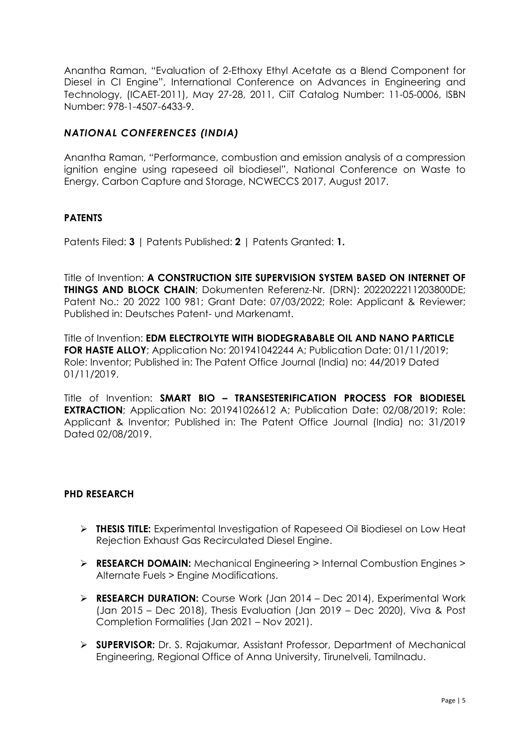Anantha Raman, "Evaluation of 2-Ethoxy Ethyl Acetate as a Blend Component for Diesel in CI Engine", International Conference on Advances in Engineering and Technology, (ICAET-2011), May 27-28, 2011, CiiT Catalog Number: 11-05-0006, ISBN Number: 978-1-4507-6433-9.

## *NATIONAL CONFERENCES (INDIA)*

Anantha Raman, "Performance, combustion and emission analysis of a compression ignition engine using rapeseed oil biodiesel", National Conference on Waste to Energy, Carbon Capture and Storage, NCWECCS 2017, August 2017.

## **PATENTS**

Patents Filed: **3** | Patents Published: **2** | Patents Granted: **1.**

Title of Invention: **A CONSTRUCTION SITE SUPERVISION SYSTEM BASED ON INTERNET OF THINGS AND BLOCK CHAIN**; Dokumenten Referenz-Nr. (DRN): 2022022211203800DE; Patent No.: 20 2022 100 981; Grant Date: 07/03/2022; Role: Applicant & Reviewer; Published in: Deutsches Patent- und Markenamt.

Title of Invention: **EDM ELECTROLYTE WITH BIODEGRABABLE OIL AND NANO PARTICLE FOR HASTE ALLOY**; Application No: 201941042244 A; Publication Date: 01/11/2019; Role: Inventor; Published in: The Patent Office Journal (India) no: 44/2019 Dated 01/11/2019.

Title of Invention: **SMART BIO – TRANSESTERIFICATION PROCESS FOR BIODIESEL EXTRACTION**; Application No: 201941026612 A; Publication Date: 02/08/2019; Role: Applicant & Inventor; Published in: The Patent Office Journal (India) no: 31/2019 Dated 02/08/2019.

#### **PHD RESEARCH**

- ➢ **THESIS TITLE:** Experimental Investigation of Rapeseed Oil Biodiesel on Low Heat Rejection Exhaust Gas Recirculated Diesel Engine.
- ➢ **RESEARCH DOMAIN:** Mechanical Engineering > Internal Combustion Engines > Alternate Fuels > Engine Modifications.
- ➢ **RESEARCH DURATION:** Course Work (Jan 2014 Dec 2014), Experimental Work (Jan 2015 – Dec 2018), Thesis Evaluation (Jan 2019 – Dec 2020), Viva & Post Completion Formalities (Jan 2021 – Nov 2021).
- ➢ **SUPERVISOR:** Dr. S. Rajakumar, Assistant Professor, Department of Mechanical Engineering, Regional Office of Anna University, Tirunelveli, Tamilnadu.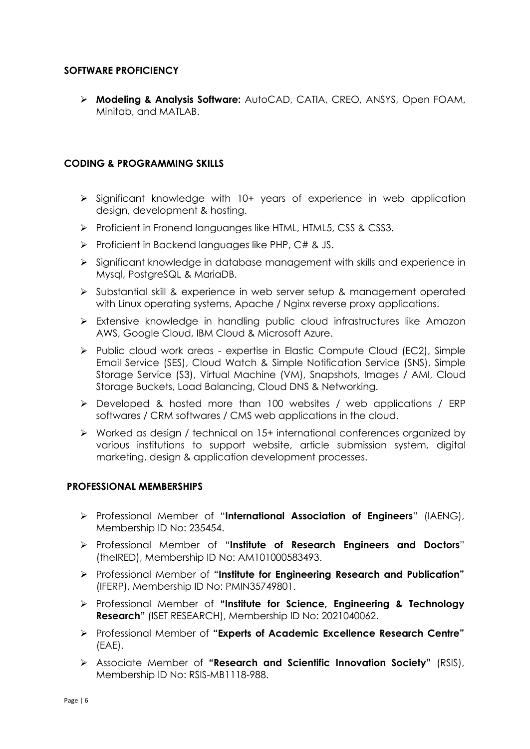## **SOFTWARE PROFICIENCY**

➢ **Modeling & Analysis Software:** AutoCAD, CATIA, CREO, ANSYS, Open FOAM, Minitab, and MATLAB.

#### **CODING & PROGRAMMING SKILLS**

- ➢ Significant knowledge with 10+ years of experience in web application design, development & hosting.
- ➢ Proficient in Fronend languanges like HTML, HTML5, CSS & CSS3.
- ➢ Proficient in Backend languages like PHP, C# & JS.
- ➢ Significant knowledge in database management with skills and experience in Mysql, PostgreSQL & MariaDB.
- ➢ Substantial skill & experience in web server setup & management operated with Linux operating systems, Apache / Nginx reverse proxy applications.
- ➢ Extensive knowledge in handling public cloud infrastructures like Amazon AWS, Google Cloud, IBM Cloud & Microsoft Azure.
- ➢ Public cloud work areas expertise in Elastic Compute Cloud (EC2), Simple Email Service (SES), Cloud Watch & Simple Notification Service (SNS), Simple Storage Service (S3), Virtual Machine (VM), Snapshots, Images / AMI, Cloud Storage Buckets, Load Balancing, Cloud DNS & Networking.
- ➢ Developed & hosted more than 100 websites / web applications / ERP softwares / CRM softwares / CMS web applications in the cloud.
- ➢ Worked as design / technical on 15+ international conferences organized by various institutions to support website, article submission system, digital marketing, design & application development processes.

#### **PROFESSIONAL MEMBERSHIPS**

- ➢ Professional Member of "**International Association of Engineers**" (IAENG), Membership ID No: 235454.
- ➢ Professional Member of "**Institute of Research Engineers and Doctors**" (theIRED), Membership ID No: AM101000583493.
- ➢ Professional Member of **"Institute for Engineering Research and Publication"**  (IFERP), Membership ID No: PMIN35749801.
- ➢ Professional Member of **"Institute for Science, Engineering & Technology Research"** (ISET RESEARCH), Membership ID No: 2021040062.
- ➢ Professional Member of **"Experts of Academic Excellence Research Centre"** (EAE).
- ➢ Associate Member of **"Research and Scientific Innovation Society"** (RSIS), Membership ID No: RSIS-MB1118-988.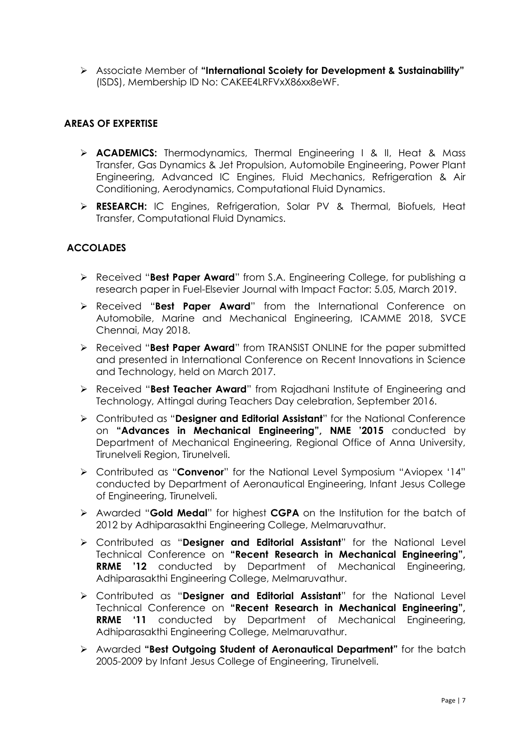➢ Associate Member of **"International Scoiety for Development & Sustainability"** (ISDS), Membership ID No: CAKEE4LRFVxX86xx8eWF.

## **AREAS OF EXPERTISE**

- ➢ **ACADEMICS:** Thermodynamics, Thermal Engineering I & II, Heat & Mass Transfer, Gas Dynamics & Jet Propulsion, Automobile Engineering, Power Plant Engineering, Advanced IC Engines, Fluid Mechanics, Refrigeration & Air Conditioning, Aerodynamics, Computational Fluid Dynamics.
- ➢ **RESEARCH:** IC Engines, Refrigeration, Solar PV & Thermal, Biofuels, Heat Transfer, Computational Fluid Dynamics.

# **ACCOLADES**

- ➢ Received "**Best Paper Award**" from S.A. Engineering College, for publishing a research paper in Fuel-Elsevier Journal with Impact Factor: 5.05, March 2019.
- ➢ Received "**Best Paper Award**" from the International Conference on Automobile, Marine and Mechanical Engineering, ICAMME 2018, SVCE Chennai, May 2018.
- ➢ Received "**Best Paper Award**" from TRANSIST ONLINE for the paper submitted and presented in International Conference on Recent Innovations in Science and Technology, held on March 2017.
- ➢ Received "**Best Teacher Award**" from Rajadhani Institute of Engineering and Technology, Attingal during Teachers Day celebration, September 2016.
- ➢ Contributed as "**Designer and Editorial Assistant**" for the National Conference on **"Advances in Mechanical Engineering", NME '2015** conducted by Department of Mechanical Engineering, Regional Office of Anna University, Tirunelveli Region, Tirunelveli.
- ➢ Contributed as "**Convenor**" for the National Level Symposium "Aviopex '14" conducted by Department of Aeronautical Engineering, Infant Jesus College of Engineering, Tirunelveli.
- ➢ Awarded "**Gold Medal**" for highest **CGPA** on the Institution for the batch of 2012 by Adhiparasakthi Engineering College, Melmaruvathur.
- ➢ Contributed as "**Designer and Editorial Assistant**" for the National Level Technical Conference on **"Recent Research in Mechanical Engineering", RRME '12** conducted by Department of Mechanical Engineering, Adhiparasakthi Engineering College, Melmaruvathur.
- ➢ Contributed as "**Designer and Editorial Assistant**" for the National Level Technical Conference on **"Recent Research in Mechanical Engineering", RRME '11** conducted by Department of Mechanical Engineering, Adhiparasakthi Engineering College, Melmaruvathur.
- ➢ Awarded **"Best Outgoing Student of Aeronautical Department"** for the batch 2005-2009 by Infant Jesus College of Engineering, Tirunelveli.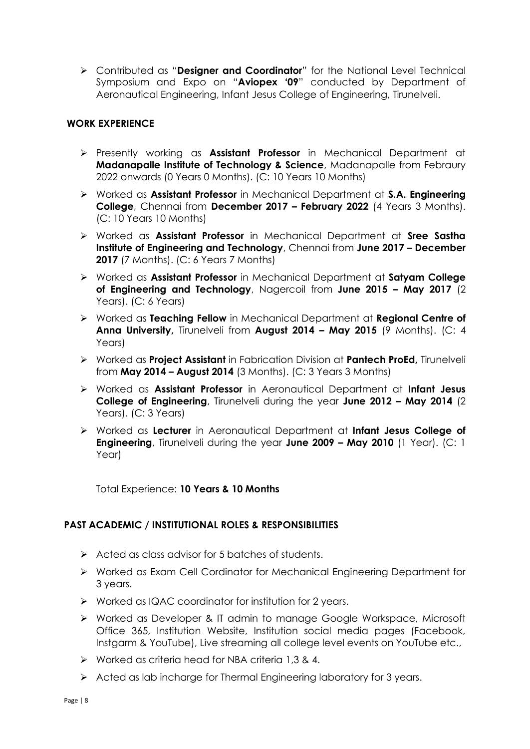➢ Contributed as "**Designer and Coordinator**" for the National Level Technical Symposium and Expo on "**Aviopex '09**" conducted by Department of Aeronautical Engineering, Infant Jesus College of Engineering, Tirunelveli.

## **WORK EXPERIENCE**

- ➢ Presently working as **Assistant Professor** in Mechanical Department at **Madanapalle Institute of Technology & Science**, Madanapalle from Febraury 2022 onwards (0 Years 0 Months). (C: 10 Years 10 Months)
- ➢ Worked as **Assistant Professor** in Mechanical Department at **S.A. Engineering College**, Chennai from **December 2017 – February 2022** (4 Years 3 Months). (C: 10 Years 10 Months)
- ➢ Worked as **Assistant Professor** in Mechanical Department at **Sree Sastha Institute of Engineering and Technology**, Chennai from **June 2017 – December 2017** (7 Months). (C: 6 Years 7 Months)
- ➢ Worked as **Assistant Professor** in Mechanical Department at **Satyam College of Engineering and Technology**, Nagercoil from **June 2015 – May 2017** (2 Years). (C: 6 Years)
- ➢ Worked as **Teaching Fellow** in Mechanical Department at **Regional Centre of Anna University,** Tirunelveli from **August 2014 – May 2015** (9 Months). (C: 4 Years)
- ➢ Worked as **Project Assistant** in Fabrication Division at **Pantech ProEd,** Tirunelveli from **May 2014 – August 2014** (3 Months). (C: 3 Years 3 Months)
- ➢ Worked as **Assistant Professor** in Aeronautical Department at **Infant Jesus College of Engineering**, Tirunelveli during the year **June 2012 – May 2014** (2 Years). (C: 3 Years)
- ➢ Worked as **Lecturer** in Aeronautical Department at **Infant Jesus College of Engineering**, Tirunelveli during the year **June 2009 – May 2010** (1 Year). (C: 1 Year)

Total Experience: **10 Years & 10 Months**

## **PAST ACADEMIC / INSTITUTIONAL ROLES & RESPONSIBILITIES**

- ➢ Acted as class advisor for 5 batches of students.
- ➢ Worked as Exam Cell Cordinator for Mechanical Engineering Department for 3 years.
- ➢ Worked as IQAC coordinator for institution for 2 years.
- ➢ Worked as Developer & IT admin to manage Google Workspace, Microsoft Office 365, Institution Website, Institution social media pages (Facebook, Instgarm & YouTube), Live streaming all college level events on YouTube etc.,
- ➢ Worked as criteria head for NBA criteria 1,3 & 4.
- ➢ Acted as lab incharge for Thermal Engineering laboratory for 3 years.